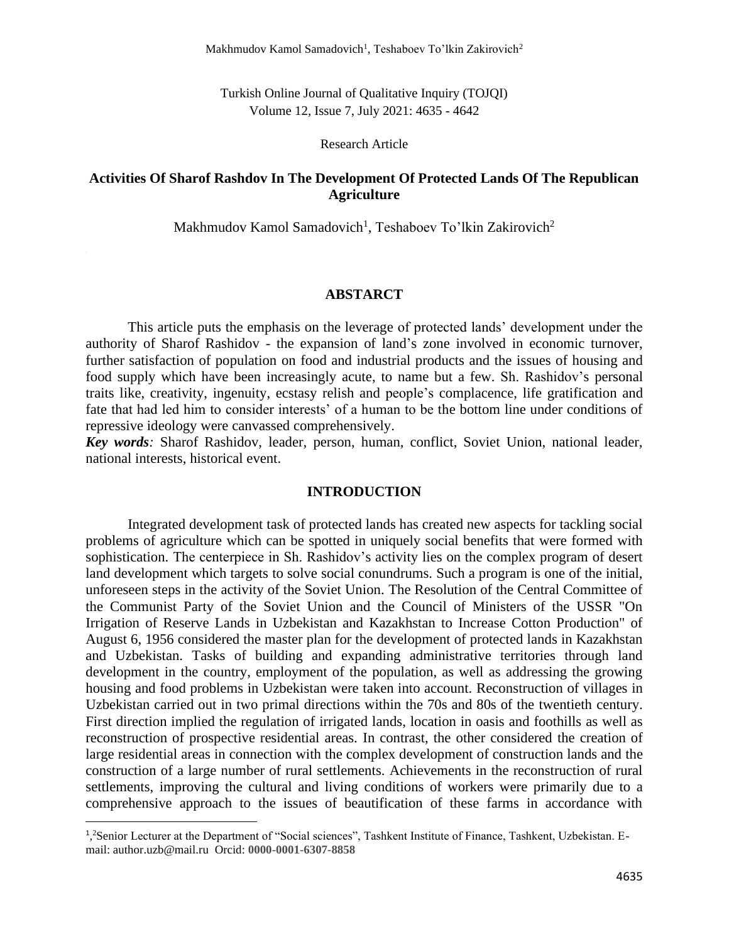Turkish Online Journal of Qualitative Inquiry (TOJQI) Volume 12, Issue 7, July 2021: 4635 - 4642

Research Article

# **Activities Of Sharof Rashdov In The Development Of Protected Lands Of The Republican Agriculture**

Makhmudov Kamol Samadovich<sup>1</sup>, Teshaboev To'lkin Zakirovich<sup>2</sup>

## **ABSTARCT**

This article puts the emphasis on the leverage of protected lands' development under the authority of Sharof Rashidov - the expansion of land's zone involved in economic turnover, further satisfaction of population on food and industrial products and the issues of housing and food supply which have been increasingly acute, to name but a few. Sh. Rashidov's personal traits like, creativity, ingenuity, ecstasy relish and people's complacence, life gratification and fate that had led him to consider interests' of a human to be the bottom line under conditions of repressive ideology were canvassed comprehensively.

*Key words:* Sharof Rashidov, leader, person, human, conflict, Soviet Union, national leader, national interests, historical event.

## **INTRODUCTION**

Integrated development task of protected lands has created new aspects for tackling social problems of agriculture which can be spotted in uniquely social benefits that were formed with sophistication. The centerpiece in Sh. Rashidov's activity lies on the complex program of desert land development which targets to solve social conundrums. Such a program is one of the initial, unforeseen steps in the activity of the Soviet Union. The Resolution of the Central Committee of the Communist Party of the Soviet Union and the Council of Ministers of the USSR "On Irrigation of Reserve Lands in Uzbekistan and Kazakhstan to Increase Cotton Production" of August 6, 1956 considered the master plan for the development of protected lands in Kazakhstan and Uzbekistan. Tasks of building and expanding administrative territories through land development in the country, employment of the population, as well as addressing the growing housing and food problems in Uzbekistan were taken into account. Reconstruction of villages in Uzbekistan carried out in two primal directions within the 70s and 80s of the twentieth century. First direction implied the regulation of irrigated lands, location in oasis and foothills as well as reconstruction of prospective residential areas. In contrast, the other considered the creation of large residential areas in connection with the complex development of construction lands and the construction of a large number of rural settlements. Achievements in the reconstruction of rural settlements, improving the cultural and living conditions of workers were primarily due to a comprehensive approach to the issues of beautification of these farms in accordance with

<sup>&</sup>lt;sup>1</sup>,<sup>2</sup>Senior Lecturer at the Department of "Social sciences", Tashkent Institute of Finance, Tashkent, Uzbekistan. Email: author.uzb@mail.ru Orcid: **0000-0001-6307-8858**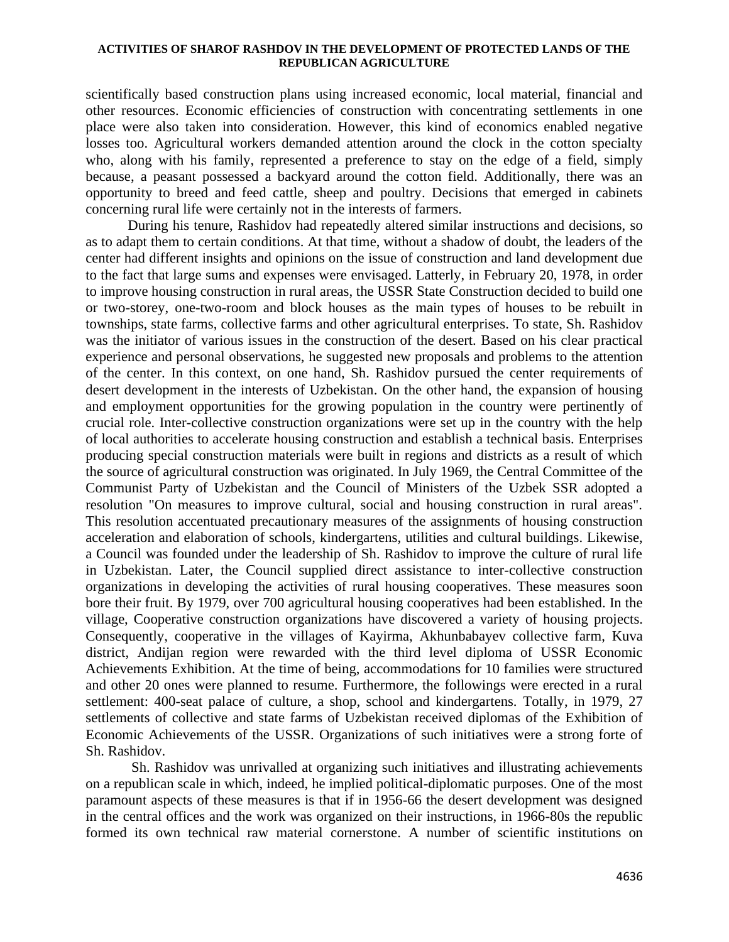scientifically based construction plans using increased economic, local material, financial and other resources. Economic efficiencies of construction with concentrating settlements in one place were also taken into consideration. However, this kind of economics enabled negative losses too. Agricultural workers demanded attention around the clock in the cotton specialty who, along with his family, represented a preference to stay on the edge of a field, simply because, a peasant possessed a backyard around the cotton field. Additionally, there was an opportunity to breed and feed cattle, sheep and poultry. Decisions that emerged in cabinets concerning rural life were certainly not in the interests of farmers.

During his tenure, Rashidov had repeatedly altered similar instructions and decisions, so as to adapt them to certain conditions. At that time, without a shadow of doubt, the leaders of the center had different insights and opinions on the issue of construction and land development due to the fact that large sums and expenses were envisaged. Latterly, in February 20, 1978, in order to improve housing construction in rural areas, the USSR State Construction decided to build one or two-storey, one-two-room and block houses as the main types of houses to be rebuilt in townships, state farms, collective farms and other agricultural enterprises. To state, Sh. Rashidov was the initiator of various issues in the construction of the desert. Based on his clear practical experience and personal observations, he suggested new proposals and problems to the attention of the center. In this context, on one hand, Sh. Rashidov pursued the center requirements of desert development in the interests of Uzbekistan. On the other hand, the expansion of housing and employment opportunities for the growing population in the country were pertinently of crucial role. Inter-collective construction organizations were set up in the country with the help of local authorities to accelerate housing construction and establish a technical basis. Enterprises producing special construction materials were built in regions and districts as a result of which the source of agricultural construction was originated. In July 1969, the Central Committee of the Communist Party of Uzbekistan and the Council of Ministers of the Uzbek SSR adopted a resolution "On measures to improve cultural, social and housing construction in rural areas". This resolution accentuated precautionary measures of the assignments of housing construction acceleration and elaboration of schools, kindergartens, utilities and cultural buildings. Likewise, a Council was founded under the leadership of Sh. Rashidov to improve the culture of rural life in Uzbekistan. Later, the Council supplied direct assistance to inter-collective construction organizations in developing the activities of rural housing cooperatives. These measures soon bore their fruit. By 1979, over 700 agricultural housing cooperatives had been established. In the village, Cooperative construction organizations have discovered a variety of housing projects. Consequently, cooperative in the villages of Kayirma, Akhunbabayev collective farm, Kuva district, Andijan region were rewarded with the third level diploma of USSR Economic Achievements Exhibition. At the time of being, accommodations for 10 families were structured and other 20 ones were planned to resume. Furthermore, the followings were erected in a rural settlement: 400-seat palace of culture, a shop, school and kindergartens. Totally, in 1979, 27 settlements of collective and state farms of Uzbekistan received diplomas of the Exhibition of Economic Achievements of the USSR. Organizations of such initiatives were a strong forte of Sh. Rashidov.

Sh. Rashidov was unrivalled at organizing such initiatives and illustrating achievements on a republican scale in which, indeed, he implied political-diplomatic purposes. One of the most paramount aspects of these measures is that if in 1956-66 the desert development was designed in the central offices and the work was organized on their instructions, in 1966-80s the republic formed its own technical raw material cornerstone. A number of scientific institutions on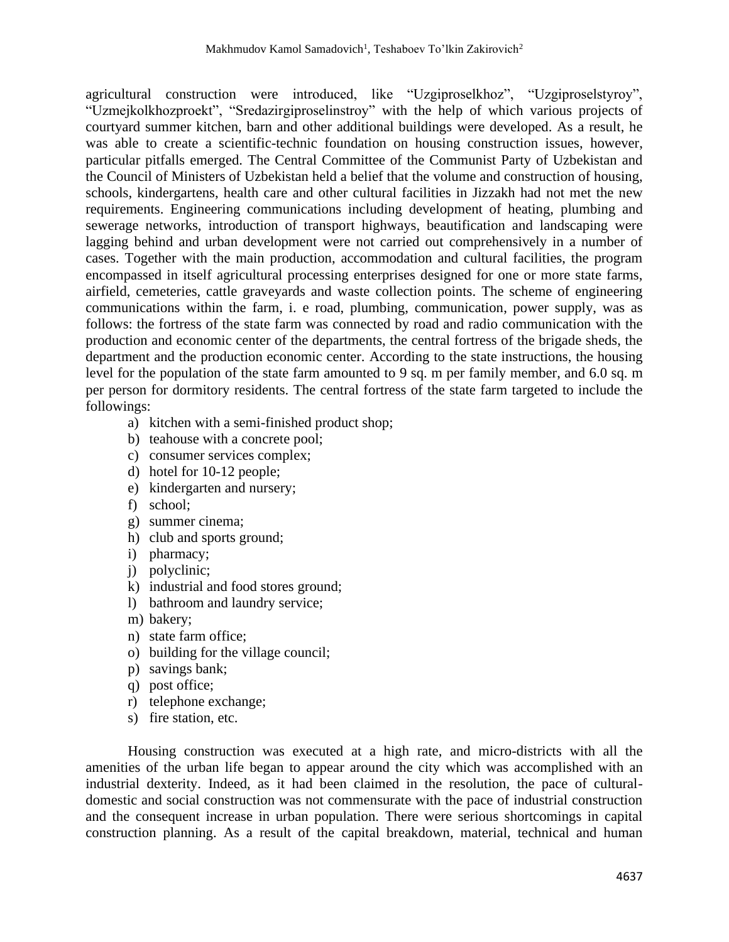agricultural construction were introduced, like "Uzgiproselkhoz", "Uzgiproselstyroy", "Uzmejkolkhozproekt", "Sredazirgiproselinstroy" with the help of which various projects of courtyard summer kitchen, barn and other additional buildings were developed. As a result, he was able to create a scientific-technic foundation on housing construction issues, however, particular pitfalls emerged. The Central Committee of the Communist Party of Uzbekistan and the Council of Ministers of Uzbekistan held a belief that the volume and construction of housing, schools, kindergartens, health care and other cultural facilities in Jizzakh had not met the new requirements. Engineering communications including development of heating, plumbing and sewerage networks, introduction of transport highways, beautification and landscaping were lagging behind and urban development were not carried out comprehensively in a number of cases. Together with the main production, accommodation and cultural facilities, the program encompassed in itself agricultural processing enterprises designed for one or more state farms, airfield, cemeteries, cattle graveyards and waste collection points. The scheme of engineering communications within the farm, i. e road, plumbing, communication, power supply, was as follows: the fortress of the state farm was connected by road and radio communication with the production and economic center of the departments, the central fortress of the brigade sheds, the department and the production economic center. According to the state instructions, the housing level for the population of the state farm amounted to 9 sq. m per family member, and 6.0 sq. m per person for dormitory residents. The central fortress of the state farm targeted to include the followings:

- a) kitchen with a semi-finished product shop;
- b) teahouse with a concrete pool;
- c) consumer services complex;
- d) hotel for 10-12 people;
- e) kindergarten and nursery;
- f) school;
- g) summer cinema;
- h) club and sports ground;
- i) pharmacy;
- j) polyclinic;
- k) industrial and food stores ground;
- l) bathroom and laundry service;
- m) bakery;
- n) state farm office;
- o) building for the village council;
- p) savings bank;
- q) post office;
- r) telephone exchange;
- s) fire station, etc.

Housing construction was executed at a high rate, and micro-districts with all the amenities of the urban life began to appear around the city which was accomplished with an industrial dexterity. Indeed, as it had been claimed in the resolution, the pace of culturaldomestic and social construction was not commensurate with the pace of industrial construction and the consequent increase in urban population. There were serious shortcomings in capital construction planning. As a result of the capital breakdown, material, technical and human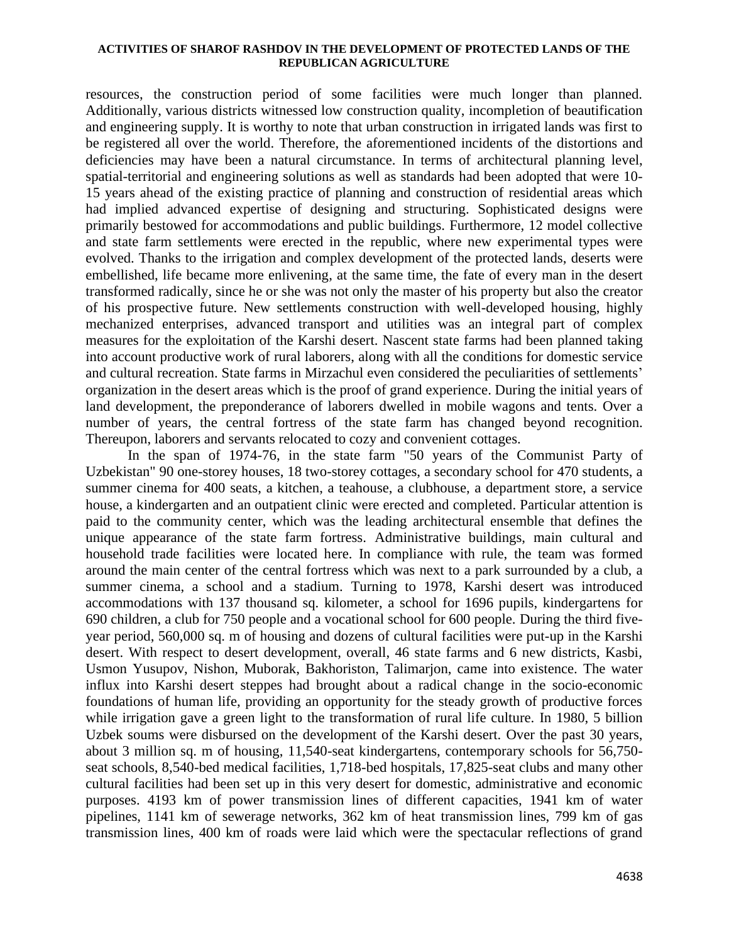resources, the construction period of some facilities were much longer than planned. Additionally, various districts witnessed low construction quality, incompletion of beautification and engineering supply. It is worthy to note that urban construction in irrigated lands was first to be registered all over the world. Therefore, the aforementioned incidents of the distortions and deficiencies may have been a natural circumstance. In terms of architectural planning level, spatial-territorial and engineering solutions as well as standards had been adopted that were 10- 15 years ahead of the existing practice of planning and construction of residential areas which had implied advanced expertise of designing and structuring. Sophisticated designs were primarily bestowed for accommodations and public buildings. Furthermore, 12 model collective and state farm settlements were erected in the republic, where new experimental types were evolved. Thanks to the irrigation and complex development of the protected lands, deserts were embellished, life became more enlivening, at the same time, the fate of every man in the desert transformed radically, since he or she was not only the master of his property but also the creator of his prospective future. New settlements construction with well-developed housing, highly mechanized enterprises, advanced transport and utilities was an integral part of complex measures for the exploitation of the Karshi desert. Nascent state farms had been planned taking into account productive work of rural laborers, along with all the conditions for domestic service and cultural recreation. State farms in Mirzachul even considered the peculiarities of settlements' organization in the desert areas which is the proof of grand experience. During the initial years of land development, the preponderance of laborers dwelled in mobile wagons and tents. Over a number of years, the central fortress of the state farm has changed beyond recognition. Thereupon, laborers and servants relocated to cozy and convenient cottages.

In the span of 1974-76, in the state farm "50 years of the Communist Party of Uzbekistan" 90 one-storey houses, 18 two-storey cottages, a secondary school for 470 students, a summer cinema for 400 seats, a kitchen, a teahouse, a clubhouse, a department store, a service house, a kindergarten and an outpatient clinic were erected and completed. Particular attention is paid to the community center, which was the leading architectural ensemble that defines the unique appearance of the state farm fortress. Administrative buildings, main cultural and household trade facilities were located here. In compliance with rule, the team was formed around the main center of the central fortress which was next to a park surrounded by a club, a summer cinema, a school and a stadium. Turning to 1978, Karshi desert was introduced accommodations with 137 thousand sq. kilometer, a school for 1696 pupils, kindergartens for 690 children, a club for 750 people and a vocational school for 600 people. During the third fiveyear period, 560,000 sq. m of housing and dozens of cultural facilities were put-up in the Karshi desert. With respect to desert development, overall, 46 state farms and 6 new districts, Kasbi, Usmon Yusupov, Nishon, Muborak, Bakhoriston, Talimarjon, came into existence. The water influx into Karshi desert steppes had brought about a radical change in the socio-economic foundations of human life, providing an opportunity for the steady growth of productive forces while irrigation gave a green light to the transformation of rural life culture. In 1980, 5 billion Uzbek soums were disbursed on the development of the Karshi desert. Over the past 30 years, about 3 million sq. m of housing, 11,540-seat kindergartens, contemporary schools for 56,750 seat schools, 8,540-bed medical facilities, 1,718-bed hospitals, 17,825-seat clubs and many other cultural facilities had been set up in this very desert for domestic, administrative and economic purposes. 4193 km of power transmission lines of different capacities, 1941 km of water pipelines, 1141 km of sewerage networks, 362 km of heat transmission lines, 799 km of gas transmission lines, 400 km of roads were laid which were the spectacular reflections of grand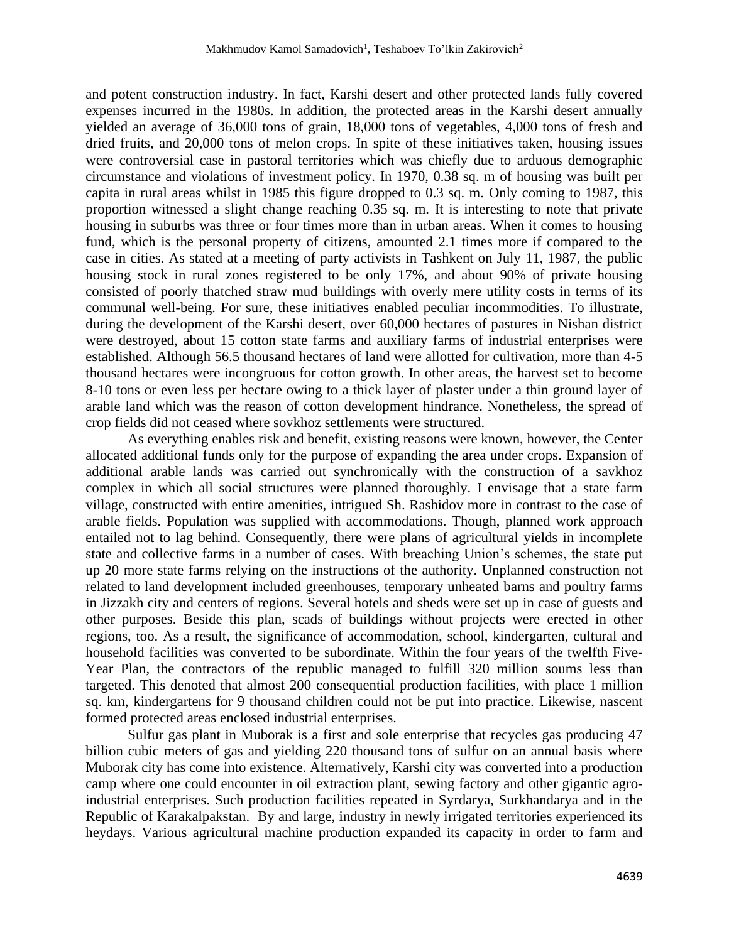and potent construction industry. In fact, Karshi desert and other protected lands fully covered expenses incurred in the 1980s. In addition, the protected areas in the Karshi desert annually yielded an average of 36,000 tons of grain, 18,000 tons of vegetables, 4,000 tons of fresh and dried fruits, and 20,000 tons of melon crops. In spite of these initiatives taken, housing issues were controversial case in pastoral territories which was chiefly due to arduous demographic circumstance and violations of investment policy. In 1970, 0.38 sq. m of housing was built per capita in rural areas whilst in 1985 this figure dropped to 0.3 sq. m. Only coming to 1987, this proportion witnessed a slight change reaching 0.35 sq. m. It is interesting to note that private housing in suburbs was three or four times more than in urban areas. When it comes to housing fund, which is the personal property of citizens, amounted 2.1 times more if compared to the case in cities. As stated at a meeting of party activists in Tashkent on July 11, 1987, the public housing stock in rural zones registered to be only 17%, and about 90% of private housing consisted of poorly thatched straw mud buildings with overly mere utility costs in terms of its communal well-being. For sure, these initiatives enabled peculiar incommodities. To illustrate, during the development of the Karshi desert, over 60,000 hectares of pastures in Nishan district were destroyed, about 15 cotton state farms and auxiliary farms of industrial enterprises were established. Although 56.5 thousand hectares of land were allotted for cultivation, more than 4-5 thousand hectares were incongruous for cotton growth. In other areas, the harvest set to become 8-10 tons or even less per hectare owing to a thick layer of plaster under a thin ground layer of arable land which was the reason of cotton development hindrance. Nonetheless, the spread of crop fields did not ceased where sovkhoz settlements were structured.

As everything enables risk and benefit, existing reasons were known, however, the Center allocated additional funds only for the purpose of expanding the area under crops. Expansion of additional arable lands was carried out synchronically with the construction of a savkhoz complex in which all social structures were planned thoroughly. I envisage that a state farm village, constructed with entire amenities, intrigued Sh. Rashidov more in contrast to the case of arable fields. Population was supplied with accommodations. Though, planned work approach entailed not to lag behind. Consequently, there were plans of agricultural yields in incomplete state and collective farms in a number of cases. With breaching Union's schemes, the state put up 20 more state farms relying on the instructions of the authority. Unplanned construction not related to land development included greenhouses, temporary unheated barns and poultry farms in Jizzakh city and centers of regions. Several hotels and sheds were set up in case of guests and other purposes. Beside this plan, scads of buildings without projects were erected in other regions, too. As a result, the significance of accommodation, school, kindergarten, cultural and household facilities was converted to be subordinate. Within the four years of the twelfth Five-Year Plan, the contractors of the republic managed to fulfill 320 million soums less than targeted. This denoted that almost 200 consequential production facilities, with place 1 million sq. km, kindergartens for 9 thousand children could not be put into practice. Likewise, nascent formed protected areas enclosed industrial enterprises.

Sulfur gas plant in Muborak is a first and sole enterprise that recycles gas producing 47 billion cubic meters of gas and yielding 220 thousand tons of sulfur on an annual basis where Muborak city has come into existence. Alternatively, Karshi city was converted into a production camp where one could encounter in oil extraction plant, sewing factory and other gigantic agroindustrial enterprises. Such production facilities repeated in Syrdarya, Surkhandarya and in the Republic of Karakalpakstan. By and large, industry in newly irrigated territories experienced its heydays. Various agricultural machine production expanded its capacity in order to farm and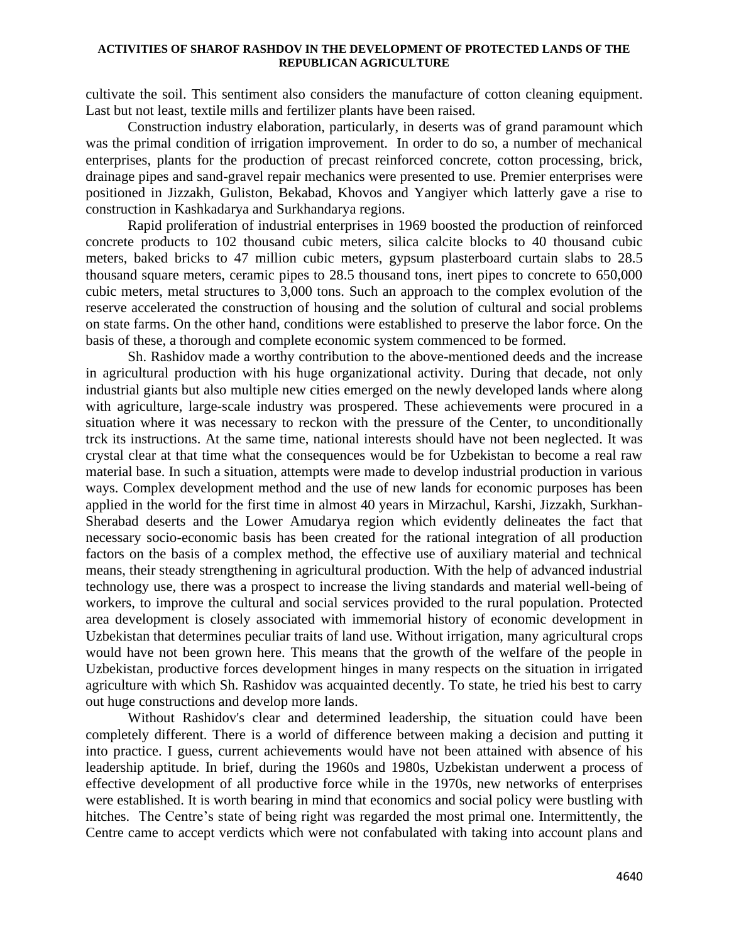cultivate the soil. This sentiment also considers the manufacture of cotton cleaning equipment. Last but not least, textile mills and fertilizer plants have been raised.

Construction industry elaboration, particularly, in deserts was of grand paramount which was the primal condition of irrigation improvement. In order to do so, a number of mechanical enterprises, plants for the production of precast reinforced concrete, cotton processing, brick, drainage pipes and sand-gravel repair mechanics were presented to use. Premier enterprises were positioned in Jizzakh, Guliston, Bekabad, Khovos and Yangiyer which latterly gave a rise to construction in Kashkadarya and Surkhandarya regions.

Rapid proliferation of industrial enterprises in 1969 boosted the production of reinforced concrete products to 102 thousand cubic meters, silica calcite blocks to 40 thousand cubic meters, baked bricks to 47 million cubic meters, gypsum plasterboard curtain slabs to 28.5 thousand square meters, ceramic pipes to 28.5 thousand tons, inert pipes to concrete to 650,000 cubic meters, metal structures to 3,000 tons. Such an approach to the complex evolution of the reserve accelerated the construction of housing and the solution of cultural and social problems on state farms. On the other hand, conditions were established to preserve the labor force. On the basis of these, a thorough and complete economic system commenced to be formed.

Sh. Rashidov made a worthy contribution to the above-mentioned deeds and the increase in agricultural production with his huge organizational activity. During that decade, not only industrial giants but also multiple new cities emerged on the newly developed lands where along with agriculture, large-scale industry was prospered. These achievements were procured in a situation where it was necessary to reckon with the pressure of the Center, to unconditionally trck its instructions. At the same time, national interests should have not been neglected. It was crystal clear at that time what the consequences would be for Uzbekistan to become a real raw material base. In such a situation, attempts were made to develop industrial production in various ways. Complex development method and the use of new lands for economic purposes has been applied in the world for the first time in almost 40 years in Mirzachul, Karshi, Jizzakh, Surkhan-Sherabad deserts and the Lower Amudarya region which evidently delineates the fact that necessary socio-economic basis has been created for the rational integration of all production factors on the basis of a complex method, the effective use of auxiliary material and technical means, their steady strengthening in agricultural production. With the help of advanced industrial technology use, there was a prospect to increase the living standards and material well-being of workers, to improve the cultural and social services provided to the rural population. Protected area development is closely associated with immemorial history of economic development in Uzbekistan that determines peculiar traits of land use. Without irrigation, many agricultural crops would have not been grown here. This means that the growth of the welfare of the people in Uzbekistan, productive forces development hinges in many respects on the situation in irrigated agriculture with which Sh. Rashidov was acquainted decently. To state, he tried his best to carry out huge constructions and develop more lands.

Without Rashidov's clear and determined leadership, the situation could have been completely different. There is a world of difference between making a decision and putting it into practice. I guess, current achievements would have not been attained with absence of his leadership aptitude. In brief, during the 1960s and 1980s, Uzbekistan underwent a process of effective development of all productive force while in the 1970s, new networks of enterprises were established. It is worth bearing in mind that economics and social policy were bustling with hitches. The Centre's state of being right was regarded the most primal one. Intermittently, the Centre came to accept verdicts which were not confabulated with taking into account plans and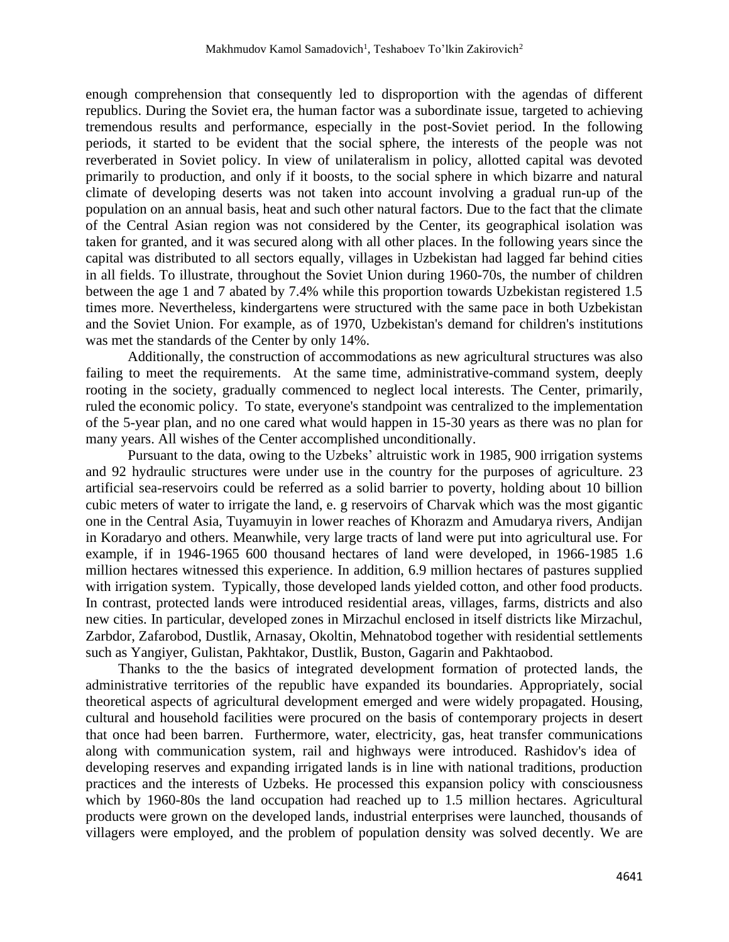enough comprehension that consequently led to disproportion with the agendas of different republics. During the Soviet era, the human factor was a subordinate issue, targeted to achieving tremendous results and performance, especially in the post-Soviet period. In the following periods, it started to be evident that the social sphere, the interests of the people was not reverberated in Soviet policy. In view of unilateralism in policy, allotted capital was devoted primarily to production, and only if it boosts, to the social sphere in which bizarre and natural climate of developing deserts was not taken into account involving a gradual run-up of the population on an annual basis, heat and such other natural factors. Due to the fact that the climate of the Central Asian region was not considered by the Center, its geographical isolation was taken for granted, and it was secured along with all other places. In the following years since the capital was distributed to all sectors equally, villages in Uzbekistan had lagged far behind cities in all fields. To illustrate, throughout the Soviet Union during 1960-70s, the number of children between the age 1 and 7 abated by 7.4% while this proportion towards Uzbekistan registered 1.5 times more. Nevertheless, kindergartens were structured with the same pace in both Uzbekistan and the Soviet Union. For example, as of 1970, Uzbekistan's demand for children's institutions was met the standards of the Center by only 14%.

Additionally, the construction of accommodations as new agricultural structures was also failing to meet the requirements. At the same time, administrative-command system, deeply rooting in the society, gradually commenced to neglect local interests. The Center, primarily, ruled the economic policy. To state, everyone's standpoint was centralized to the implementation of the 5-year plan, and no one cared what would happen in 15-30 years as there was no plan for many years. All wishes of the Center accomplished unconditionally.

Pursuant to the data, owing to the Uzbeks' altruistic work in 1985, 900 irrigation systems and 92 hydraulic structures were under use in the country for the purposes of agriculture. 23 artificial sea-reservoirs could be referred as a solid barrier to poverty, holding about 10 billion cubic meters of water to irrigate the land, e. g reservoirs of Charvak which was the most gigantic one in the Central Asia, Tuyamuyin in lower reaches of Khorazm and Amudarya rivers, Andijan in Koradaryo and others. Meanwhile, very large tracts of land were put into agricultural use. For example, if in 1946-1965 600 thousand hectares of land were developed, in 1966-1985 1.6 million hectares witnessed this experience. In addition, 6.9 million hectares of pastures supplied with irrigation system. Typically, those developed lands yielded cotton, and other food products. In contrast, protected lands were introduced residential areas, villages, farms, districts and also new cities. In particular, developed zones in Mirzachul enclosed in itself districts like Mirzachul, Zarbdor, Zafarobod, Dustlik, Arnasay, Okoltin, Mehnatobod together with residential settlements such as Yangiyer, Gulistan, Pakhtakor, Dustlik, Buston, Gagarin and Pakhtaobod.

Thanks to the the basics of integrated development formation of protected lands, the administrative territories of the republic have expanded its boundaries. Appropriately, social theoretical aspects of agricultural development emerged and were widely propagated. Housing, cultural and household facilities were procured on the basis of contemporary projects in desert that once had been barren. Furthermore, water, electricity, gas, heat transfer communications along with communication system, rail and highways were introduced. Rashidov's idea of developing reserves and expanding irrigated lands is in line with national traditions, production practices and the interests of Uzbeks. He processed this expansion policy with consciousness which by 1960-80s the land occupation had reached up to 1.5 million hectares. Agricultural products were grown on the developed lands, industrial enterprises were launched, thousands of villagers were employed, and the problem of population density was solved decently. We are